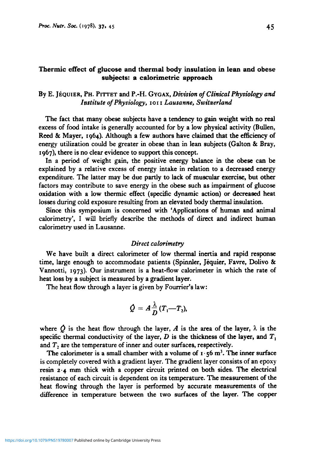# Thermic effect **of** glucose and thermal **body** insulation in lean and **obese**  subjects: a calorimetric approach

# By E. **JEQUIER, PH. PITTET** and **P.-H.** GYGAX, *Division of Clinical Physiology and Institute of Physiology,* **IOI I** *Lausanne, SwitzerLand*

The fact that many obese subjects have a tendency to gain weight with no real excess of food intake is generally accounted for by a low physical activity (Bullen, **Reed** & Mayer, **1964).** Although a few authors have claimed that the efficiency of energy utilization could be greater in obese than in lean subjects (Galton & Bray, 1967), there is no clear evidence to support this concept.

In a period of weight gain, the positive energy balance in the **obese** can be explained by a relative excess of energy intake in relation to a decreased energy expenditure. The latter may be due partly to lack of muscular exercise, but other factors may contribute to save energy in the **obese** such as impairment of glucose oxidation with a low thermic effect (specific dynamic action) or decreased heat losses during cold exposure resulting from an elevated body thermal insulation.

Since this symposium is concerned with 'Applications of human and animal calorimetry', I will briefly describe the methods of direct and indirect human calorimetry used in Lausanne.

#### *Direct ca lorimetry*

We have built a direct calorimeter of low thermal inertia and rapid response time, large enough to accommodate patients (Spinnler, Jéquier, Favre, Dolivo  $\&$ Vannotti, **1973).** Our instrument **is** a heat-flow calorimeter in which the rate of heat loss by a subject is measured by a gradient layer.

The heat flow through a layer is given by Fourrier's law:

$$
\dot{Q}=A\frac{\lambda}{D}(T_1-T_2),
$$

where  $\hat{O}$  is the heat flow through the layer,  $\hat{A}$  is the area of the layer,  $\lambda$  is the specific thermal conductivity of the layer,  $D$  is the thickness of the layer, and  $T_1$ and  $T<sub>2</sub>$  are the temperature of inner and outer surfaces, respectively.

The calorimeter is a small chamber with a volume of  $I \cdot 56$  m<sup>3</sup>. The inner surface is completely covered with a gradient layer. The gradient layer consists of an epoxy resin **2.4** mm thick with a copper circuit printed on both sides. The electrical resistance of each circuit is dependent on its temperature. The measurement of the heat flowing through the layer is performed by accurate measurements of the difference in temperature between the two surfaces of the layer. The copper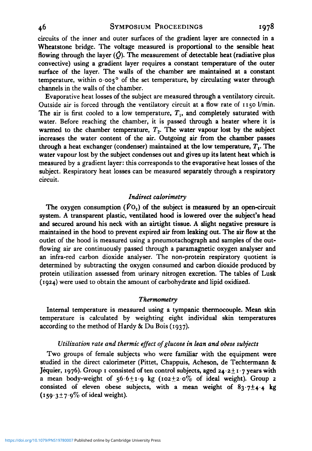circuits of the inner and outer surfaces of the gradient layer are connected in a Wheatstone bridge. The voltage measured is proportional to the sensible heat flowing through the layer  $(\hat{Q})$ . The measurement of detectable heat (radiative plus convective) using a gradient layer requires a constant temperature of the outer surface of the layer. The walls of the chamber **are** maintained at a constant temperature, within *0.005'* of the set temperature, by circulating water through channels in the walls of the chamber.

Evaporative heat losses of the subject are measured through a ventilatory circuit. Outside air is forced through the ventilatory circuit at a flow rate of **1150** l/min. The air is first cooled to a low temperature,  $T<sub>1</sub>$ , and completely saturated with water. Before reaching the chamber, it is passed through a heater where it is warmed to the chamber temperature,  $T<sub>2</sub>$ . The water vapour lost by the subject increases the water content of the air. Outgoing air from the chamber passes through a heat exchanger (condenser) maintained at the low temperature, *T,.* The water vapour lost by the subject condenses out and gives up its latent heat which is measured by a gradient layer: this corresponds to the evaporative heat losses of the subject. Respiratory heat losses can be measured separately through a respiratory circuit.

## *Indirect calorimetry*

The oxygen consumption  $(VO_2)$  of the subject is measured by an open-circuit system. A transparent plastic, ventilated hood is lowered over the subject's head and secured around his neck with an airtight tissue. A slight negative pressure is maintained in the hood to prevent expired air from leaking out. The air flow at the outlet of the hood is measured using a pneumotachograph and samples of the outflowing air are continuously passed through a paramagnetic oxygen analyser and an infra-red carbon dioxide analyser. The non-protein respiratory quotient is determined by subtracting the oxygen consumed and carbon dioxide produced by protein utilization assessed from urinary nitrogen excretion. The tables of Lusk **(1924)** were used **to** obtain the amount of carbohydrate and lipid oxidized.

## *Thermometry*

Internal temperature is measured using a tympanic thermocouple. Mean **skin**  temperature is calculated by weighting eight individual skin temperatures according to the method of Hardy & Du Bois **(1937).** 

## *Utilization rate and thermic effect of glucose in lean and obese subjects*

Two groups of female subjects who were familiar with the equipment were studied in the direct calorimeter (Pittet, Chappuis, Acheson, de Techtermann *8z*  Jéquier, 1976). Group 1 consisted of ten control subjects, aged 24.2 ± 1.7 years with a mean body-weight of  $56.6 \pm 1.9$  kg  $(102 \pm 2.0\%$  of ideal weight). Group 2 consisted of eleven obese subjects, with a mean weight of **83-7+4-4** kg  $(159.3 \pm 7.9\%$  of ideal weight).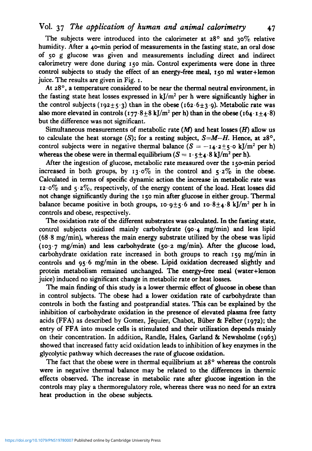# **Vol. 37** *The application of human and animal calorimetry* **47**

The subjects were introduced into the calorimeter at  $28^\circ$  and  $30\%$  relative humidity. After a 4o-min period of measurements in the fasting state, an oral dose of **50** g glucose was given and measurements including direct and indirect calorimetry were done during **150 min.** Control experiments were done in three control subjects to study the effect of an energy-free meal, **150 ml** water+lemon juice. The results are given in Fig. 1.

At  $28^\circ$ , a temperature considered to be near the thermal neutral environment, in the fasting state heat losses expressed in  $k/m^2$  per h were significantly higher in the control subjects (192+5.3) than in the obese (162.6+3.9). Metabolic rate was also more elevated in controls  $(177.8+8 \text{ kJ/m}^2 \text{ per h})$  than in the obese  $(164.1+4.8)$ but the difference was not significant.

Simultaneous measurements of metabolic rate *(M)* and heat losses *(H)* allow *us*  to calculate the heat storage (S); for a resting subject,  $S=M-H$ . Hence, at  $28^{\circ}$ , control subjects were in negative thermal balance  $(S = -14.2 + 5.0 \text{ kJ/m}^2 \text{ per h})$ whereas the obese were in thermal equilibrium  $(S = I \cdot 5 + 4 \cdot 8 \text{ kJ/m}^2 \text{ per h}).$ 

After the ingestion of glucose, metabolic rate measured over the 150-min period increased in both groups, by 13.0% in the control and  $5.2\%$  in the obese. Calculated in terms of specific dynamic action the increase in metabolic rate was **12.070** and 5.2%, respectively, of the energy content of the load. Heat **losses** did not change significantly during the 150 min after glucose in either group. Thermal balance became positive in both groups,  $10.9 \pm 5.6$  and  $10.8 \pm 4.8$  kJ/m<sup>2</sup> per h in controls and obese, respectively.

The oxidation rate of the different substrates was calculated. In the fasting state, control subjects oxidized mainly carbohydrate **(90.4** mg/min) and less lipid (68.8 mg/min), whereas the main energy substrate utilized by the obese was lipid (103.7 mg/min) and less carbohydrate **(50.2** mg/min). After the glucose load, carbohydrate oxidation rate increased in both groups to reach 159 mg/min in controls and 95.6 mg/min in the **obese.** Lipid oxidation decreased slightly and protein metabolism remained unchanged. The energy-free meal (water+lemon juice) induced no significant change in metabolic rate or heat losses.

The main finding of this study is a lower thermic effect of glucose in **obese** than in control subjects. The obese had a lower oxidation rate of carbohydrate than controls in both the fasting and postprandial states. **This** can be explained by the inhibition of carbohydrate oxidation in the presence of elevated plasma **free** fatty acids (FFA) as described by Gomez, Jéquier, Chabot, Büber & Felber (1972); the entry of FFA into muscle cells is stimulated and their utilization depends mainly on their concentration. In addition, Randle, Hales, Garland & Newsholme (1963) showed that increased fatty acid oxidation leads to inhibition of key enzymes in the glycolytic pathway which decreases the rate of glucose oxidation.

The fact that the obese were in thermal equilibrium at  $28^\circ$  whereas the controls were in negative thermal balance may be related to the differences in thermic effects observed. The increase in metabolic rate after glucose ingestion in the controls may play a thermoregulatory role, whereas there was no need for an extra heat production in the obese subjects.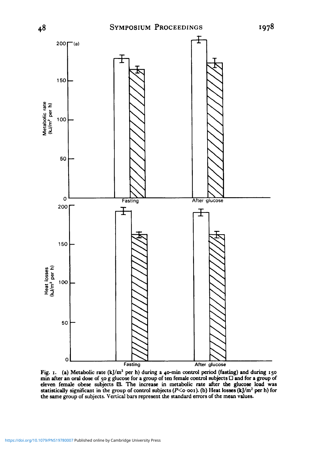

Fig. 1. (a) Metabolic rate (kJ/m<sup>2</sup> per h) during a 40-min control period (fasting) and during 150 min after an oral dose of 50 g glucose for a group of eleven female **obese** subjects N. The increase in metabolic rate after **the** glucose load was statistically significant in the group of control **subjects (P<o.ooI).** (b) Heat **losses (kJ/m\*** per h) for the same group of subjects. Vertical bars represent the standard errors of the mean values.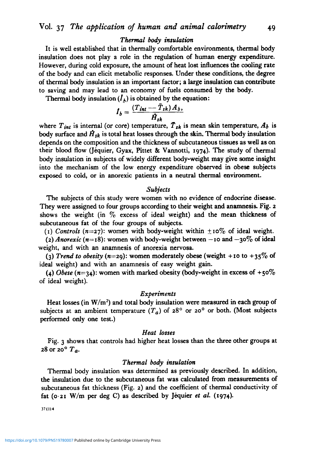### *Thermal body insulation*

It is well established that in thermally comfortable environments, thermal body insulation does not play a role in the regulation of human energy expenditure. However, during cold exposure, the amount of heat lost influences the cooling rate of the body and can elicit metabolic responses. Under these conditions, the degree of thermal body insulation is an important factor; **a** large insulation can contribute to saving and may lead to an economy of fuels consumed by the body.

Thermal body insulation  $(I<sub>A</sub>)$  is obtained by the equation:

$$
I_b = \frac{(T_{int} - \bar{T}_{sk})A_b}{\bar{H}_{sk}},
$$

where  $T_{int}$  is internal (or core) temperature,  $T_{sk}$  is mean skin temperature,  $A_b$  is body surface and  $\hat{H}_{sk}$  is total heat losses through the skin. Thermal body insulation depends on the composition and the thickness of subcutaneous tissues as well as on their blood flow (Jequier, Gyax, Pittet & Vannotti, *1974).* The study of thermal body insulation in subjects of widely different body-weight may give some insight into the mechanism of the low energy expenditure observed in obese subjects exposed to cold, or in anorexic patients in a neutral thermal environment.

#### *Subjects*

The subjects of this study were women with no evidence of endocrine disease. They were assigned to four groups according to their weight and anamnesis. Fig. *2*  shows the weight (in *7'0* excess of ideal weight) and the mean thickness of subcutaneous fat of the four groups of subjects.

(1) Controls ( $n=27$ ): women with body-weight within  $\pm 10\%$  of ideal weight.

(2) Anorexic ( $n=18$ ): women with body-weight between  $-10$  and  $-30\%$  of ideal weight, and with an anamnesis of anorexia nervosa.

(3) *Trend to obesity* ( $n=29$ ): women moderately obese (weight +10 to  $+35\%$  of ideal weight) and with an anamnesis of easy weight gain.

*(4) Obese (n=34):* women with marked obesity (body-weight in excess of *+so%*  of ideal weight).

#### *Experiments*

Heat losses (in  $W/m^2$ ) and total body insulation were measured in each group of subjects at an ambient temperature  $(T_a)$  of  $28^\circ$  or  $20^\circ$  or both. (Most subjects **performed** only one test.)

## *Heat losses*

Fig. 3 shows that controls had higher heat losses than the three other groups at *28* or  $20^{\circ} T_a$ .

#### *Thermal body insulation*

Thermal body insulation was determined as previously described. In addition, the insulation due to the subcutaneous fat was calculated from measurements of subcutaneous fat thickness (Fig. **2)** and the coefficient of thermal conductivity of fat  $(0.21 \text{ W/m per deg C})$  as described by Jéquier *et al.* (1974).

 $37(1)4$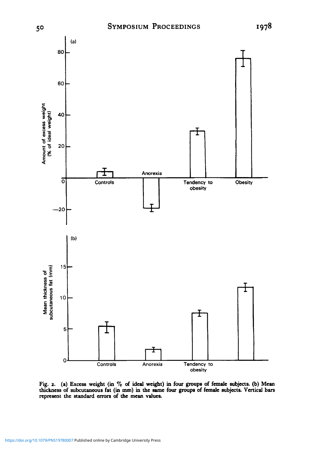

**Fig. 2. (a) Excess weight (in 70 of ideal weight) in four groups of female** *subjects.* (b) **Mean thickness of subcutaneous fat (in** mm) **in the name four group of female subjects. Vertical bars**  represent the standard errors of the mean values.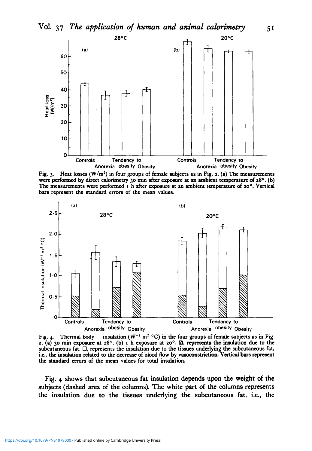

Fig. 3. Heat **losses (Wlrn')** in four groups of female subjects **as** in Fig. **2.** (a) **The** measurements were performed by direct calorimetry 30 min after exposure at an ambient temperature of  $28^{\circ}$ . (b) **The measurements werc performed** I h after *exposure* at an ambient temperature of *20°.* Vertical bars represent the standard errors of the mean valuea



Fig. 4. Thermal body insulation  $(W^{-1} \text{ m}^2 \text{ }^{\circ}\text{C})$  in the four groups of female subjects as in Fig. **2.** (a) 30 min exposure at  $28^\circ$ . (b) I h exposure at  $20^\circ$ . *R*, represents the insulation due to the subcutaneous fat. *0,* represents the insulation due to the tissues underlying the subcutaneous fat, **i.e., the** insulation related to the decrease of blood **flow** by **vlsoconstriction. Vertical** bars represent the standard **mrs** of **the** mean values for total insulation.

Fig. **4 shows** that subcutaneous fat insulation depends upon the weight of the subjects (dashed area of the columns). The white part of the columns represents the insulation due to the tissues underlying the subcutaneous fat, i.e., the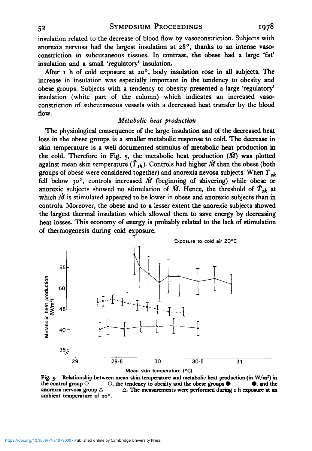insulation related to the decrease of blood flow by vasoconstriction. Subjects with anorexia nervosa had the largest insulation at 28°, thanks to an intense vasoconstriction in subcutaneous tissues. In contrast, the **obese** had a large 'fat' insulation and a small 'regulatory' insulation.

After I h of cold exposure at **zoo,** body insulation rose in all subjects. The increase in insulation was especially important in the tendency to obesity and obese groups. Subjects with a tendency to obesity presented a large 'regulatory' insulation (white part of the column) which indicates an increased vasoconstriction of subcutaneous vessels with a decreased heat transfer by the blood flow.

# *Metabolic heat production*

The physiological consequence of the large insulation and of the decreased heat loss in the **obese** groups is a smaller metabolic response to cold. The decrease in skin temperature is a well documented stimulus of metabolic heat production in the cold. Therefore in Fig.  $5$ , the metabolic heat production  $(M)$  was plotted against mean skin temperature  $(\tilde{T}_{sk})$ . Controls had higher  $\tilde{M}$  than the obese (both groups of obese were considered together) and anorexia nevosa subjects. When  $\bar{T}_{ik}$ fell below *30°,* controls increased M (beginning of shivering) while **obese** or anorexic subjects showed no stimulation of  $\dot{M}$ . Hence, the threshold of  $\bar{T}_{sk}$  at which  $\dot{M}$  is stimulated appeared to be lower in obese and anorexic subjects than in controls. Moreover, the **obese** and to a lesser extent the anorexic subjects showed the largest thermal insulation which allowed them to save energy by decreasing heat losses. **This** economy of energy is probably related to the lack of stimulation of thermogenesis during cold exposure.



**Fig. 5. Relationship between mean skin temperature and metabolic heat production (in W/m2) in the COV**<br> **the control group O-----O, the tendency to obesity and the obese groups**  $\bullet$  **----** $\bullet$ **, and the control group O------O, the tendency to obesity and the obese groups**  $\bullet$  **---** $\bullet$ **, and the anomaging arrives group anorexia nervosa group**  $\triangle$ **------** $\triangle$ . The measurements were performed during I h exposure at an **ambient temperature of** *20°.*